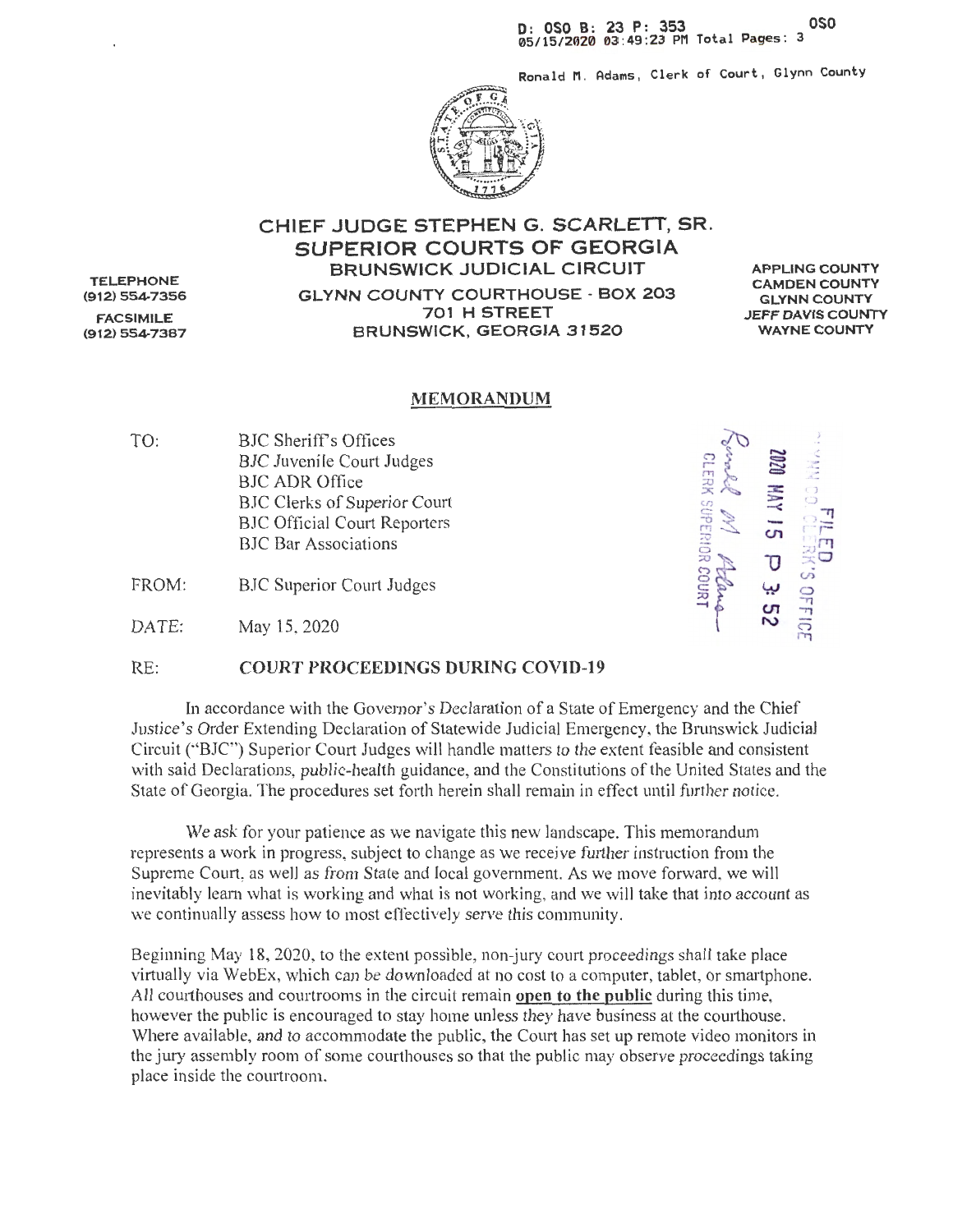Ronald M. Adams, Clerk of Court, Glynn County



#### CHIEF JUDGE STEPHEN G. SCARLETT, SR. SUPERIOR COURTS OF GEORGIA **BRUNSWICK JUDICIAL CIRCUIT GLYNN COUNTY COURTHOUSE - BOX 203** 701 H STREET BRUNSWICK, GEORGIA 31520

**APPLING COUNTY CAMDEN COUNTY GLYNN COUNTY JEFF DAVIS COUNTY WAYNE COUNTY** 

#### **MEMORANDUM**

TO: **BJC Sheriff's Offices BJC Juvenile Court Judges BJC ADR Office** BJC Clerks of Superior Court **BJC Official Court Reporters BJC** Bar Associations

FROM: **BJC Superior Court Judges** 

DATE: May 15, 2020

**CLERK SUPERIOR COURT** 

#### $RE:$ **COURT PROCEEDINGS DURING COVID-19**

In accordance with the Governor's Declaration of a State of Emergency and the Chief Justice's Order Extending Declaration of Statewide Judicial Emergency, the Brunswick Judicial Circuit ("BJC") Superior Court Judges will handle matters to the extent feasible and consistent with said Declarations, public-health guidance, and the Constitutions of the United States and the State of Georgia. The procedures set forth herein shall remain in effect until further notice.

We ask for your patience as we navigate this new landscape. This memorandum represents a work in progress, subject to change as we receive further instruction from the Supreme Court, as well as from State and local government. As we move forward, we will inevitably learn what is working and what is not working, and we will take that into account as we continually assess how to most effectively serve this community.

Beginning May 18, 2020, to the extent possible, non-jury court proceedings shall take place virtually via WebEx, which can be downloaded at no cost to a computer, tablet, or smartphone. All courthouses and courtrooms in the circuit remain open to the public during this time, however the public is encouraged to stay home unless they have business at the courthouse. Where available, and to accommodate the public, the Court has set up remote video monitors in the jury assembly room of some courthouses so that the public may observe proceedings taking place inside the courtroom.

**TELEPHONE** (912) 554-7356 **FACSIMILE**  $(912) 554 - 7387$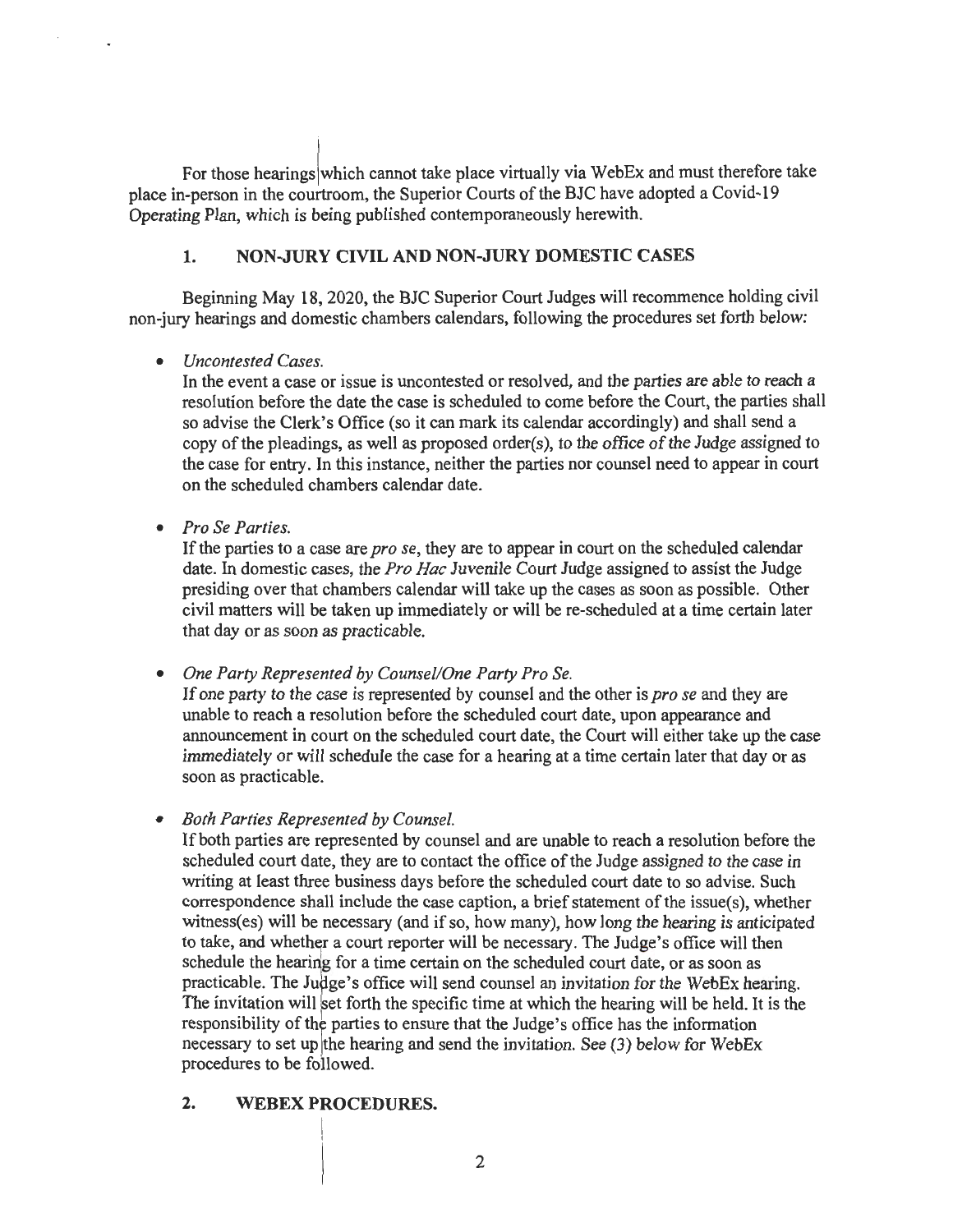For those hearings which cannot take place virtually via WebEx and must therefore take place in-person in the courtroom, the Superior Courts of the BJC have adopted a Covid-19 Operating Plan, which is being published contemporaneously herewith.

## **1. NON-JURY CIVIL AND NON-JURY DOMESTIC CASES**

Beginning May 18, 2020, the BJC Superior Court Judges will recommence holding civil non-jury hearings and domestic chambers calendars, following the procedures set forth below:

#### • *Uncontested Cases.*

In the event a case or issue is uncontested or resolved, and the parties are able to reach a resolution before the date the case is scheduled to come before the Court, the parties shall so advise the Clerk's Office (so it can mark its calendar accordingly) and shall send a copy of the pleadings, as well as proposed order(s), to the office of the Judge assigned to the case for entry. In this instance, neither the parties nor counsel need to appear in court on the scheduled chambers calendar date.

• *Pro Se Parties.* 

If the parties to a case are *pro se,* they are to appear in court on the scheduled calendar date. In domestic cases, the *Pro Hae* Juvenile Court Judge assigned to assist the Judge presiding over that chambers calendar will take up the cases as soon as possible. Other civil matters will be taken up immediately or will be re-scheduled at a time certain later that day or as soon as practicable.

• *One Party Represented by Counsel/One Party Pro Se.* 

If one party to the case is represented by counsel and the other is *pro se* and they are unable to reach a resolution before the scheduled court date, upon appearance and announcement in court on the scheduled court date, the Court will either take up the case immediately or will schedule the case for a hearing at a time certain later that day or as soon as practicable.

• *Both Parties Represented by Counsel.* 

If both parties are represented by counsel and are unable to reach a resolution before the scheduled court date, they are to contact the office of the Judge assigned to the case in writing at least three business days before the scheduled court date to so advise. Such correspondence shall include the case caption, a brief statement of the issue(s), whether witness(es) will be necessary (and if so, how many), how long the hearing is anticipated to take, and whether a court reporter will be necessary. The Judge's office will then schedule the hearing for a time certain on the scheduled court date, or as soon as practicable. The Judge's office will send counsel an invitation for the WebE<sub>N</sub> hearing. The invitation will set forth the specific time at which the hearing will be held. It is the responsibility of the parties to ensure that the Judge's office has the information necessary to set up the hearing and send the invitation. See (3) below for WebEx procedures to be followed.

## **2. WEBEX PROCEDURES.**

i